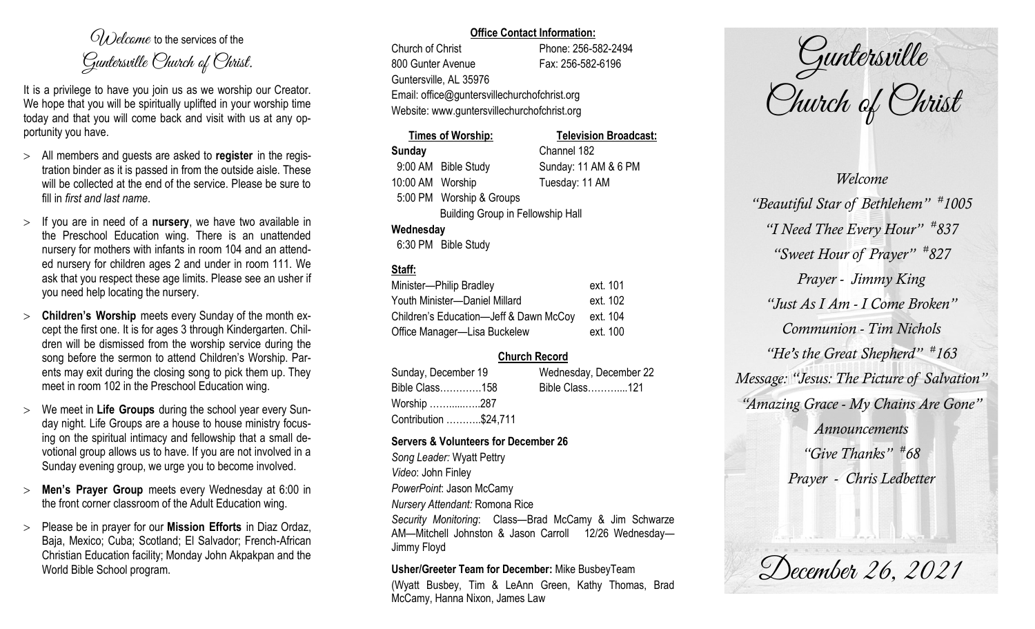$O(\lambda)$  elcame to the services of the Guntersville Church of Christ.

It is a privilege to have you join us as we worship our Creator. We hope that you will be spiritually uplifted in your worship time today and that you will come back and visit with us at any opportunity you have.

- All members and guests are asked to **register** in the registration binder as it is passed in from the outside aisle. These will be collected at the end of the service. Please be sure to fill in *first and last name*.
- $>$  If you are in need of a **nursery**, we have two available in the Preschool Education wing. There is an unattended nursery for mothers with infants in room 104 and an attended nursery for children ages 2 and under in room 111. We ask that you respect these age limits. Please see an usher if you need help locating the nursery.
- **Children's Worship** meets every Sunday of the month except the first one. It is for ages 3 through Kindergarten. Children will be dismissed from the worship service during the song before the sermon to attend Children's Worship. Parents may exit during the closing song to pick them up. They meet in room 102 in the Preschool Education wing.
- We meet in **Life Groups** during the school year every Sunday night. Life Groups are a house to house ministry focusing on the spiritual intimacy and fellowship that a small devotional group allows us to have. If you are not involved in a Sunday evening group, we urge you to become involved.
- **Men's Prayer Group** meets every Wednesday at 6:00 in the front corner classroom of the Adult Education wing.
- Please be in prayer for our **Mission Efforts** in Diaz Ordaz, Baja, Mexico; Cuba; Scotland; El Salvador; French-African Christian Education facility; Monday John Akpakpan and the World Bible School program.

#### **Office Contact Information:**

Church of Christ Phone: 256-582-2494 800 Gunter Avenue Fax: 256-582-6196 Guntersville, AL 35976 Email: office@guntersvillechurchofchrist.org Website: www.guntersvillechurchofchrist.org

# **Times of Worship: Television Broadcast: Sunday** Channel 182 9:00 AM Bible Study Sunday: 11 AM & 6 PM 10:00 AM Worship Tuesday: 11 AM 5:00 PM Worship & Groups Building Group in Fellowship Hall **Wednesday**

6:30 PM Bible Study

# **Staff:**

| Minister-Philip Bradley                | ext. 101 |
|----------------------------------------|----------|
| Youth Minister-Daniel Millard          | ext. 102 |
| Children's Education-Jeff & Dawn McCoy | ext. 104 |
| Office Manager-Lisa Buckelew           | ext. 100 |

# **Church Record**

| Sunday, December 19   |  | Wednesday, December 22 |  |
|-----------------------|--|------------------------|--|
| Bible Class158        |  | Bible Class121         |  |
| Worship 287           |  |                        |  |
| Contribution \$24,711 |  |                        |  |

### **Servers & Volunteers for December 26**

*Song Leader:* Wyatt Pettry *Video*: John Finley *PowerPoint*: Jason McCamy *Nursery Attendant:* Romona Rice *Security Monitoring*: Class—Brad McCamy & Jim Schwarze AM—Mitchell Johnston & Jason Carroll 12/26 Wednesday— Jimmy Floyd

### **Usher/Greeter Team for December:** Mike BusbeyTeam

(Wyatt Busbey, Tim & LeAnn Green, Kathy Thomas, Brad McCamy, Hanna Nixon, James Law

Guntersville Church of Christ

*Welcome "Beautiful Star of Bethlehem" # 1005 "I Need Thee Every Hour" # 837 "Sweet Hour of Prayer" # 827 Prayer - Jimmy King "Just As I Am - I Come Broken" Communion - Tim Nichols "He's the Great Shepherd" # 163 Message: "Jesus: The Picture of Salvation" "Amazing Grace - My Chains Are Gone" Announcements "Give Thanks" # 68 Prayer - Chris Ledbetter*

December 26, 2021